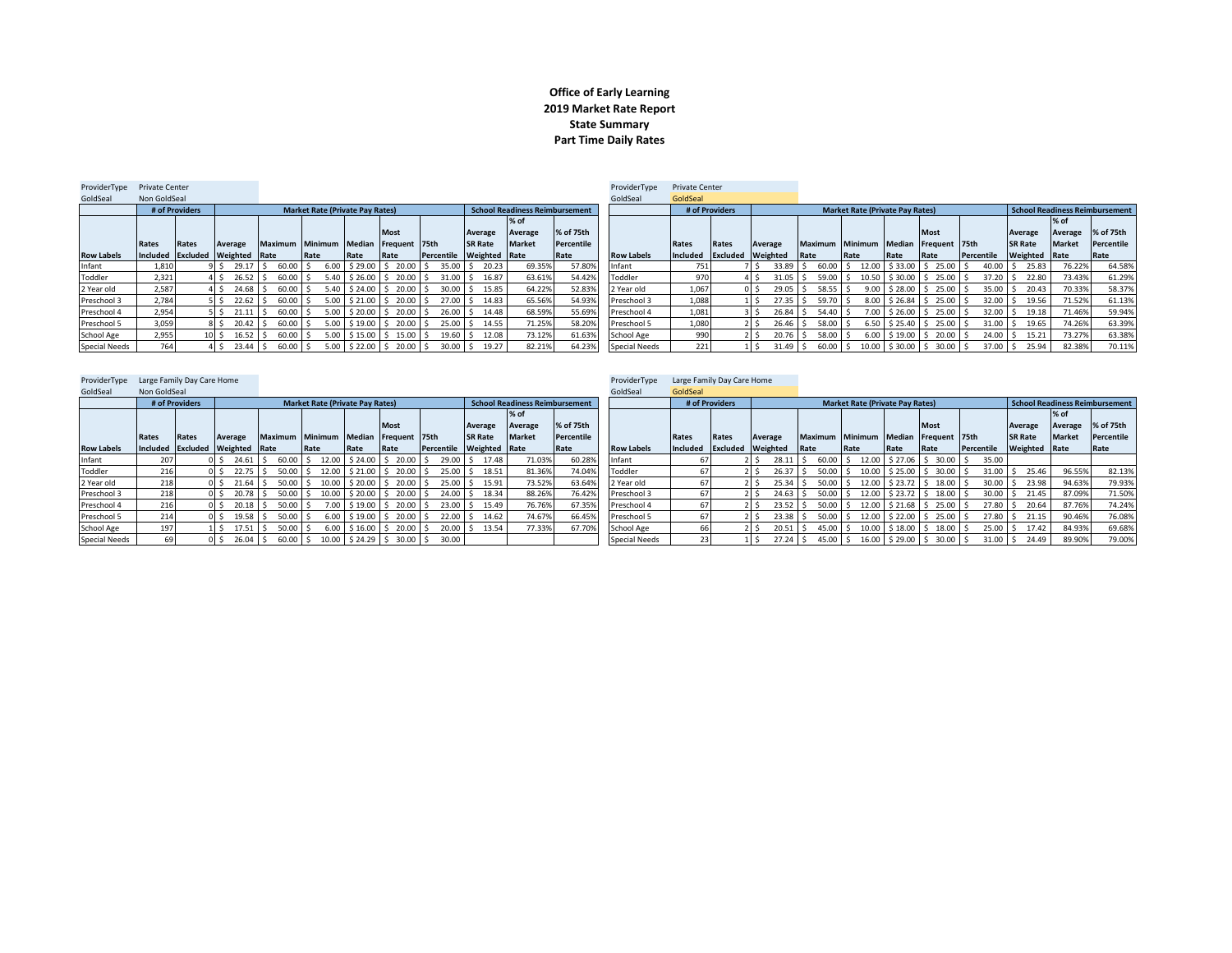## **Office of Early Learning 2019 Market Rate Report State Summary Part Time Daily Rates**

| ProviderType         | <b>Private Center</b> |                |                                 |                 |                                        |                        |                      |                 |                      |                                       |            | ProviderType         | <b>Private Center</b> |                |                                  |                                      |                                        |                    |                              |            |                |               |                                |
|----------------------|-----------------------|----------------|---------------------------------|-----------------|----------------------------------------|------------------------|----------------------|-----------------|----------------------|---------------------------------------|------------|----------------------|-----------------------|----------------|----------------------------------|--------------------------------------|----------------------------------------|--------------------|------------------------------|------------|----------------|---------------|--------------------------------|
| GoldSeal             | Non GoldSeal          |                |                                 |                 |                                        |                        |                      |                 |                      |                                       |            | GoldSeal             | GoldSeal              |                |                                  |                                      |                                        |                    |                              |            |                |               |                                |
|                      |                       | # of Providers |                                 |                 | <b>Market Rate (Private Pay Rates)</b> |                        |                      |                 |                      | <b>School Readiness Reimbursement</b> |            |                      |                       | # of Providers |                                  |                                      | <b>Market Rate (Private Pav Rates)</b> |                    |                              |            |                |               | School Readiness Reimbursement |
|                      |                       |                |                                 |                 |                                        |                        |                      |                 |                      | % of                                  |            |                      |                       |                |                                  |                                      |                                        |                    |                              |            |                | $%$ of        |                                |
|                      |                       |                |                                 |                 |                                        |                        | <b>Most</b>          |                 | Average              | Average                               | % of 75th  |                      |                       |                |                                  |                                      |                                        |                    | <b>Most</b>                  |            | Average        | Average       | % of 75th                      |
|                      | Rates                 | Rates          | Average                         | Maximum Minimum |                                        | <b>Median</b>          | Frequent 75th        |                 | <b>SR Rate</b>       | <b>Market</b>                         | Percentile |                      | Rates                 | <b>Rates</b>   | Average                          | Maximum Minimum Median Frequent 75th |                                        |                    |                              |            | <b>SR Rate</b> | <b>Market</b> | Percentile                     |
| <b>Row Labels</b>    |                       |                | Included Excluded Weighted Rate |                 | Rate                                   | Rate                   | Rate                 | Percentile      | <b>Weighted Rate</b> |                                       | Rate       | <b>Row Labels</b>    | Included              |                | <b>Excluded</b> Weighted         | Rate                                 | Rate                                   | Rate               | <b>IRate</b>                 | Percentile | Weighted Rate  |               | Rate                           |
| Infant               | 1,810                 |                | 29.17S                          | 60.00           |                                        | $6.00$ \$ 29.00 \$     | 20.00                | $35.00$ S<br>-S | 20.23                | 69.35%                                | 57.80%     | Infant               | 751 <b>1</b>          |                | $33.89$ $\overline{\phantom{0}}$ | 60.00                                |                                        |                    | $12.00$ \$ 33.00 \$ 25.00 \$ | 40.00      | 25.83          | 76.22%        | 64.58%                         |
| Toddler              | 2.321                 |                | 26.52 S<br>4 S                  | 60.00           |                                        | $5.40$   \$ 26.00   \$ | 20.00                | $31.00$ S       | 16.87                | 63.61%                                | 54.42%     | Toddler              | 970                   |                | $31.05$ \$<br>$4 \,$ S           | $59.00$ \$                           |                                        |                    | $10.50$ \$30.00 \$ 25.00 \$  | 37.20      | 22.80          | 73.43%        | 61.29%                         |
| 2 Year old           | 2.587                 |                | 24.68 \$                        | 60.00           |                                        | $5.40$ \$ 24.00 \$     | 20.00                | 30.00           | 15.85                | 64.22%                                | 52.83%     | 2 Year old           | 1.067                 |                | $29.05$ S<br>0 S                 | 58.55                                | 9.00                                   | \$28.00            | $1 \le 25.00$ S              | 35.00      | 20.43          | 70.33%        | 58.37%                         |
| Preschool 3          | 2.784                 |                | $22.62$ \$                      | 60.00           | 5.00                                   | $$21.00$ $$$           | 20.00                | $27.00$ S       | 14.83                | 65.56%                                | 54.93%     | Preschool 3          | 1.088                 |                | $27.35$ \$                       | $59.70$ \$                           |                                        |                    | $8.00$ \$ 26.84 \$ 25.00 \$  | 32.00      | 19.56<br>l S   | 71.52%        | 61.13%                         |
| Preschool 4          | 2,954                 |                | 21.11                           | 60.00           | 5.00                                   | \$20.00 S              | 20.00                | 26.00           | 14.48                | 68.59%                                | 55.69%     | Preschool 4          | 1,081                 |                | $26.84$ \ \$                     | 54.40                                |                                        | \$26.00            | $25.00$ \$<br>I S.           | 32.00      | 19.18          | 71.46%        | 59.94%                         |
| Preschool 5          | 3,059                 |                | $20.42 \quad$ \$                | 60.00           | 5.00                                   | $$19.00$ $$$           | 20.00                | 25.00           | 14.55                | 71.25%                                | 58.20%     | Preschool 5          | 1,080                 |                | $26.46$ $\frac{1}{5}$            | 58.00                                |                                        | $6.50$ \$ 25.40 \$ | $25.00$ \$                   | 31.00      | 19.65          | 74.26%        | 63.39%                         |
| School Age           | 2,955                 |                | $16.52$ S<br>$10l$ S            | 60.00           | 5.00                                   | \$15.00 S              | 15.00                | $19.60$ S       | 12.08                | 73.12%                                | 61.63%     | School Age           | 990                   |                | $20.76$ S                        | 58.00                                | 6.00                                   | \$19.00            | $20.00$ \$                   | 24.00      | 15.21          | 73.27%        | 63.38%                         |
| <b>Special Needs</b> | 764                   |                | 23.44 S<br>4 S                  | 60.00 \$        |                                        |                        | 5.00 \$22.00 \$20.00 | $30.00$ \$      | 19.27                | 82.21%                                | 64.23%     | <b>Special Needs</b> | 221                   |                |                                  | $31.49$ \$ 60.00 \$                  |                                        |                    | 10.00 \$30.00 \$30.00 \$     | 37.00      | 25.94<br>-S    | 82.38%        | 70.11%                         |
|                      |                       |                |                                 |                 |                                        |                        |                      |                 |                      |                                       |            |                      |                       |                |                                  |                                      |                                        |                    |                              |            |                |               |                                |

| ProviderType         | Large Family Day Care Home |                |                                 |                |                                        |                    |                             |            |                      |                                       |            | ProviderTvpe         |              | Large Family Day Care Home |                          |                |                                        |        |                              |            |                |               |                                       |
|----------------------|----------------------------|----------------|---------------------------------|----------------|----------------------------------------|--------------------|-----------------------------|------------|----------------------|---------------------------------------|------------|----------------------|--------------|----------------------------|--------------------------|----------------|----------------------------------------|--------|------------------------------|------------|----------------|---------------|---------------------------------------|
| GoldSeal             | Non GoldSeal               |                |                                 |                |                                        |                    |                             |            |                      |                                       |            | GoldSeal             | GoldSeal     |                            |                          |                |                                        |        |                              |            |                |               |                                       |
|                      |                            | # of Providers |                                 |                | <b>Market Rate (Private Pay Rates)</b> |                    |                             |            |                      | <b>School Readiness Reimbursement</b> |            |                      |              | # of Providers             |                          |                | <b>Market Rate (Private Pay Rates)</b> |        |                              |            |                |               | <b>School Readiness Reimbursement</b> |
|                      |                            |                |                                 |                |                                        |                    |                             |            |                      | $%$ of                                |            |                      |              |                            |                          |                |                                        |        |                              |            |                | % of          |                                       |
|                      |                            |                |                                 |                |                                        |                    | <b>Most</b>                 |            | Average              | Average                               | % of 75th  |                      |              |                            |                          |                |                                        |        | <b>Most</b>                  |            | Average        | Average       | % of 75th                             |
|                      | Rates                      | Rates          | Average                         | <b>Maximum</b> | Minimum                                |                    | Median Frequent 75th        |            | <b>SR Rate</b>       | <b>Market</b>                         | Percentile |                      | <b>Rates</b> | Rates                      | Average                  | <b>Maximum</b> | <b>Minimum</b>                         | Median | Frequent 75th                |            | <b>SR Rate</b> | <b>Market</b> | Percentile                            |
| <b>Row Labels</b>    |                            |                | Included Excluded Weighted Rate |                | Rate                                   | Rate               | Rate                        | Percentile | <b>Weighted</b> Rate |                                       | Rate       | <b>Row Labels</b>    | Included     |                            | <b>Excluded Weighted</b> | Rate           | <b>Rate</b>                            | Rate   | <b>Rate</b>                  | Percentile | Weighted Rate  |               | Rate                                  |
| Infant               | 207                        |                | $24.61$ S                       |                | 60.00 \$12.00 \$24.00 \$20.00          |                    |                             | 29.00      | 17.48                | 71.03%                                | 60.28%     | Infant               |              |                            | $28.11$ \$               | 60.00 \$       |                                        |        | $12.00$ \$ 27.06 \$ 30.00 \$ | 35.00      |                |               |                                       |
| Toddler              | 216                        |                | $22.75$ S                       |                | 50.00 \$ 12.00 \$ 21.00 \$ 20.00       |                    |                             | $25.00$ S  | 18.51                | 81.36%                                | 74.04%     | Toddler              |              |                            | $26.37$ S                | $50.00$ S      |                                        |        | $10.00$ \$ 25.00 \$ 30.00 \$ | $31.00$ S  | 25.46          | 96.55%        | 82.13%                                |
| 2 Year old           | 218                        |                | $21.64$ \$                      | $50.00$ S      |                                        |                    | 10.00 \$20.00 \$20.00       | $25.00$ \$ | 15.91                | 73.52%                                | 63.64%     | 2 Year old           | 67           |                            | $25.34$ S                | $50.00$ S      |                                        |        | $12.00$ \$ 23.72 \$ 18.00 \$ | $30.00$ \$ | 23.98          | 94.63%        | 79.93%                                |
| Preschool 3          | 218                        |                | $20.78$ \$                      | $50.00$ S      |                                        |                    | 10.00 \$20.00 \$20.00       | 24.00 S    | 18.34                | 88.26%                                | 76.42%     | Preschool 3          | 67           |                            | $24.63$ \$               |                | 50.00 S 12.00 S 23.72 S 18.00 S        |        |                              | $30.00$ \$ | 21.45          | 87.09%        | 71.50%                                |
| Preschool 4          | 216                        |                | $20.18$ S                       | $50.00$ \$     |                                        | $7.00$ \$19.00 \$  | 20.00                       | $23.00$ \$ | 15.49                | 76.76%                                | 67.35%     | Preschool 4          | 67           |                            | $23.52$ \$               | $50.00$ S      |                                        |        | $12.00$ \$ 21.68 \$ 25.00 \$ | 27.80 \$   | 20.64          | 87.76%        | 74.24%                                |
| Preschool 5          | 214                        |                | $19.58$ \$                      | $50.00$ \$     |                                        | $6.00$ \$ 19.00 \$ | 20.00                       | $22.00$ S  | 14.62                | 74.67%                                | 66.45%     | Preschool 5          |              |                            | $23.38$ \$               | $50.00$ \$     |                                        |        | 12.00 \$22.00 \$25.00 \$     | $27.80$ S  | 21.15          | 90.46%        | 76.08%                                |
| School Age           | 197                        |                | $17.51$ S                       | $50.00$ \$     |                                        |                    | 6.00 \$16.00 \$20.00        | $20.00$ \$ | 13.54                | 77.33%                                | 67.70%     | School Age           | 66           |                            | $20.51$ S                | 45.00 \$       |                                        |        | 10.00 \$18.00 \$18.00 \$     | $25.00$ S  | 17.42          | 84.93%        | 69.68%                                |
| <b>Special Needs</b> | 69                         |                | $26.04$ S                       | 60.00 \$       |                                        |                    | 10.00   \$ 24.29   \$ 30.00 | 30.00      |                      |                                       |            | <b>Special Needs</b> |              |                            | $27.24$ S                | 45.00 \$       |                                        |        | 16.00 \$29.00 \$30.00 \$     | $31.00$ \$ | 24.49          | 89.90%        | 79.00%                                |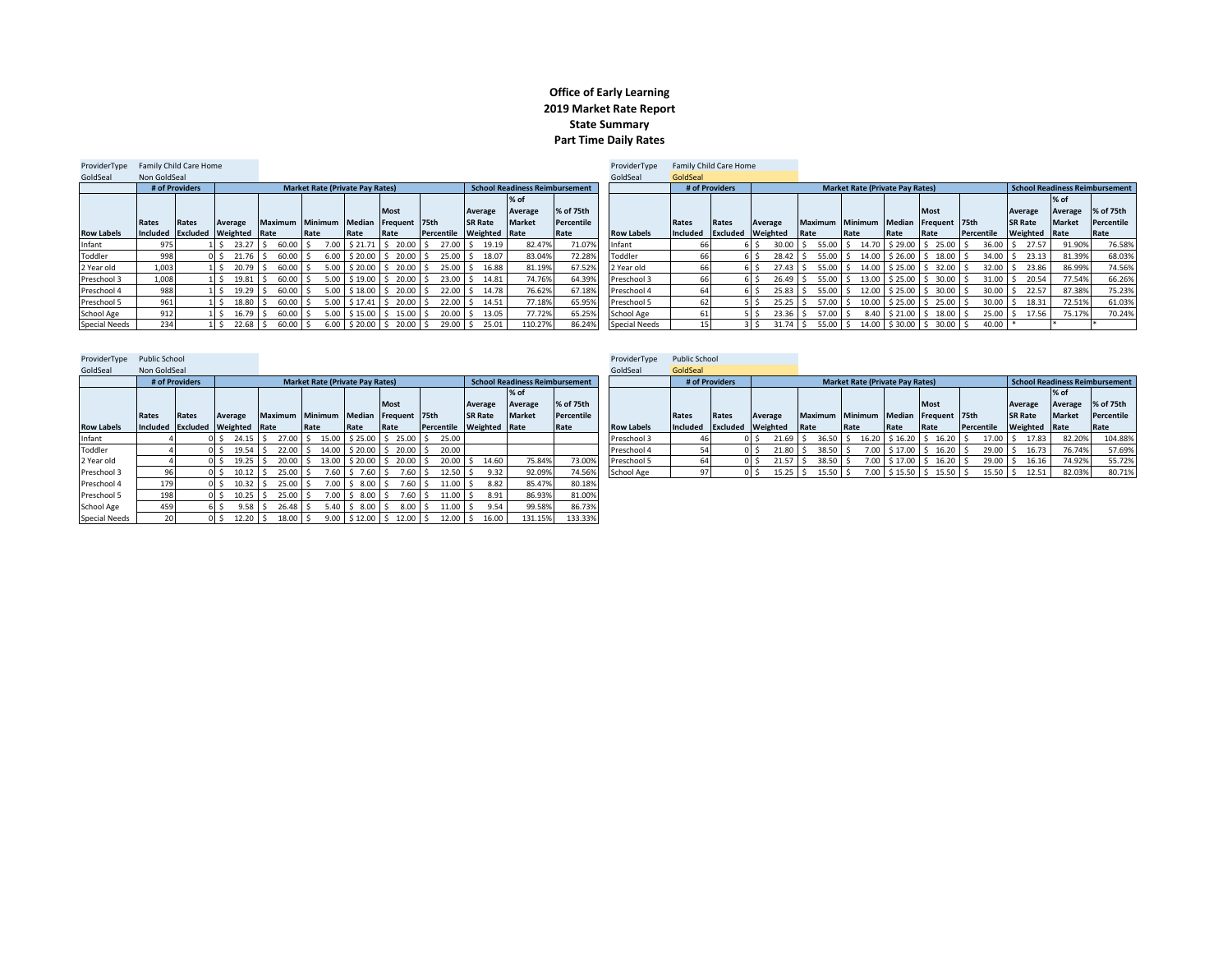## **Office of Early Learning 2019 Market Rate Report State Summary Part Time Daily Rates**

| ProviderType         | Family Child Care Home |                |                            |                 |                                        |      |                                                  |            |                      |                                       |            | ProviderTvpe         |                   | Family Child Care Home |                         |                                      |                                        |      |                       |            |                                |               |             |
|----------------------|------------------------|----------------|----------------------------|-----------------|----------------------------------------|------|--------------------------------------------------|------------|----------------------|---------------------------------------|------------|----------------------|-------------------|------------------------|-------------------------|--------------------------------------|----------------------------------------|------|-----------------------|------------|--------------------------------|---------------|-------------|
| GoldSeal             | Non GoldSeal           |                |                            |                 |                                        |      |                                                  |            |                      |                                       |            | GoldSeal             | GoldSeal          |                        |                         |                                      |                                        |      |                       |            |                                |               |             |
|                      |                        | # of Providers |                            |                 | <b>Market Rate (Private Pay Rates)</b> |      |                                                  |            |                      | <b>School Readiness Reimbursement</b> |            |                      |                   | # of Providers         |                         |                                      | <b>Market Rate (Private Pay Rates)</b> |      |                       |            | School Readiness Reimbursement |               |             |
|                      |                        |                |                            |                 |                                        |      |                                                  |            |                      | $%$ of                                |            |                      |                   |                        |                         |                                      |                                        |      |                       |            |                                | % of          |             |
|                      |                        |                |                            |                 |                                        |      | <b>Most</b>                                      |            | Average              | Average                               | % of 75th  |                      |                   |                        |                         |                                      |                                        |      | <b>Most</b>           |            | Average                        | Average       | % of 75th   |
|                      | Rates                  | Rates          | Average                    | Maximum Minimum |                                        |      | Median Frequent 75th                             |            | <b>SR Rate</b>       | <b>Market</b>                         | Percentile |                      | Rates             | Rates                  | Average                 | Maximum Minimum Median Frequent 75th |                                        |      |                       |            | <b>SR Rate</b>                 | <b>Market</b> | Percentile  |
| <b>Row Labels</b>    |                        |                | Included Excluded Weighted | Rate            | Rate                                   | Rate | Rate                                             | Percentile | <b>Weighted Rate</b> |                                       | Rate       | <b>Row Labels</b>    | Included Excluded |                        | Weighted                | <b>Rate</b>                          | <b>Rate</b>                            | Rate | Rate                  | Percentile | Weighted Rate                  |               | <b>Rate</b> |
| Infant               | 975 I                  |                | $23.27$ S                  | 60.00           |                                        |      | 7.00 \$21.71 \$20.00 \$                          | $27.00$ S  | 19.19                | 82.47%                                | 71.07%     | Infant               |                   |                        | $30.00$ \$              |                                      | 55.00 \$ 14.70                         |      | $$29.00$ $$25.00$ \$  | $36.00$ \$ | 27.57                          | 91.90%        | 76.58%      |
| Toddler              | 998                    |                | 21.76                      | 60.00           |                                        |      | $6.00$ \$ 20.00 \$ 20.00 \$                      |            | 25.00 \$ 18.07       | 83.04%                                | 72.289     | Toddler              |                   |                        | $28.42 \quad S$         |                                      | 55.00 \$ 14.00 \$ 26.00 \$ 18.00 \$    |      |                       | $34.00$ \$ | 23.13                          | 81.39%        | 68.03%      |
| 2 Year old           | 1.003                  |                | 20.79                      | 60.00           |                                        |      | 5.00 \$20.00 \$20.00 \$                          | 25.00 S    | 16.88                | 81.19%                                | 67.52%     | 2 Year old           |                   |                        | $27.43 \,$ S            |                                      | 55.00 \$ 14.00                         |      | $$25.00$ $$32.00$ $$$ | $32.00$ \$ | 23.86                          | 86.99%        | 74.56%      |
| Preschool 3          | 1,008                  |                | 19.81                      | 60.00           |                                        |      | $5.00$ $\pm$ $19.00$ $\pm$ $20.00$ $\pm$         |            | 23.00 \$ 14.81       | 74.76%                                | 64.39%     | Preschool 3          |                   |                        | $26.49$ S               |                                      | 55.00 \$ 13.00 \$ 25.00 \$ 30.00 \$    |      |                       |            | 31.00 \$ 20.54                 | 77.54%        | 66.26%      |
| Preschool 4          | 988                    |                | 19.29                      | 60.00           |                                        |      |                                                  |            | 22.00 \$ 14.78       | 76.62%                                | 67.18%     | Preschool 4          |                   |                        | $25.83$ \ $\frac{2}{3}$ |                                      | 55.00 \$12.00 \$25.00 \$30.00 \$       |      |                       | $30.00$ S  | 22.57                          | 87.38%        | 75.23%      |
| Preschool 5          | 961                    |                | 18.80                      | 60.00           |                                        |      | $5.00$ $\mid$ \$ 17.41 $\mid$ \$ 20.00 $\mid$ \$ |            | 22.00 \$ 14.51       | 77.18%                                | 65.95%     | Preschool 5          |                   |                        | $25.25$ \ \$            | 57.00 \$                             | 10.00                                  |      | $$25.00$ $$25.00$ $$$ | $30.00$ S  | 18.31                          | 72.51%        | 61.03%      |
| School Age           | 912                    |                | 16.79                      | 60.00           |                                        |      | 5.00 \$15.00 \$15.00 \$                          |            | 20.00 \$ 13.05       | 77.72%                                | 65.25%     | School Age           |                   |                        | $23.36$ \$              | $57.00$ S                            | 8.40                                   |      | $$21.00$ $$18.00$ $$$ | $25.00$ \$ | 17.56                          | 75.17%        | 70.24%      |
| <b>Special Needs</b> | 234                    |                | $22.68$ S                  | 60.00           |                                        |      | $6.00$ \$ 20.00 \$ 20.00 \$                      | $29.00$ \$ | 25.01                | 110.27%                               | 86.24%     | <b>Special Needs</b> |                   |                        | $31.74$ S               |                                      | 55.00 \$ 14.00 \$30.00 \$ 30.00 \$     |      |                       | 40.00      |                                |               |             |

| ProviderType         | <b>Public School</b> |                            |      |         |             |       |      |                 |                                        |                         |                   |            |                |                                       |            | ProviderType      | <b>Public School</b> |                   |                |                       |      |                |      |         |                                        |             |
|----------------------|----------------------|----------------------------|------|---------|-------------|-------|------|-----------------|----------------------------------------|-------------------------|-------------------|------------|----------------|---------------------------------------|------------|-------------------|----------------------|-------------------|----------------|-----------------------|------|----------------|------|---------|----------------------------------------|-------------|
| GoldSeal             | Non GoldSeal         |                            |      |         |             |       |      |                 |                                        |                         |                   |            |                |                                       |            | GoldSeal          | GoldSeal             |                   |                |                       |      |                |      |         |                                        |             |
|                      |                      | # of Providers             |      |         |             |       |      |                 | <b>Market Rate (Private Pay Rates)</b> |                         |                   |            |                | <b>School Readiness Reimbursement</b> |            |                   |                      | # of Providers    |                |                       |      |                |      |         | <b>Market Rate (Private Pay Rates)</b> |             |
|                      |                      |                            |      |         |             |       |      |                 |                                        |                         |                   |            |                | $%$ of                                |            |                   |                      |                   |                |                       |      |                |      |         |                                        |             |
|                      |                      |                            |      |         |             |       |      |                 |                                        | <b>Most</b>             |                   |            | Average        | Average                               | % of 75th  |                   |                      |                   |                |                       |      |                |      |         |                                        | Mo:         |
|                      | Rates                | Rates                      |      | Average |             |       |      | Maximum Minimum | Median                                 | Frequent 75th           |                   |            | <b>SR Rate</b> | <b>Market</b>                         | Percentile |                   | Rates                | Rates             |                | Average               |      | <b>Maximum</b> |      | Minimum | Median                                 | <b>Free</b> |
| <b>Row Labels</b>    |                      | Included Excluded Weighted |      |         | <b>Rate</b> |       | Rate |                 | Rate                                   | Rate                    |                   | Percentile | Weighted       | Rate                                  | Rate       | <b>Row Labels</b> |                      | Included Excluded |                | Weighted              | Rate |                | Rate |         | Rate                                   | Rat         |
| Infant               |                      |                            | DI S | 24.15   |             | 27.00 |      | 15.00           | \$25.00                                | $5$ 25.00 $\frac{1}{5}$ |                   | 25.00      |                |                                       |            | Preschool 3       | 46                   |                   |                | 21.69                 | ΙS   | $36.50$ S      |      |         | $16.20$   \$ 16.20   \$                |             |
| Toddler              |                      |                            | OIS. | 19.54   |             | 22.00 |      | 14.00           | $$20.00$ S                             |                         | $20.00$ S         | 20.00      |                |                                       |            | Preschool 4       | 54                   |                   | ol s           | $21.80$ \$            |      | 38.50 \$       |      |         | $7.00$ \$17.00 \$                      |             |
| 2 Year old           |                      |                            | оls  | 19.25   |             | 20.00 |      | 13.00           | $$20.00$ S                             |                         | $20.00$ \$        | 20.00      | 14.60          | 75.84%                                | 73.00%     | Preschool 5       | 64                   |                   |                | 21.57                 | 'IS  | 38.50 \$       |      |         | 7.00 \$17.00 \$                        |             |
| Preschool 3          | 96                   |                            | n s  | 10.12   |             | 25.00 |      | $7.60$ $\pm$    | 7.60 \$                                |                         | 7.60S             | $12.50$ S  | 9.32           | 92.09%                                | 74.56%     | School Age        | 97                   |                   | 0 <sub>l</sub> | $15.25$ $\frac{1}{5}$ |      | $15.50$ \$     |      |         | $7.00$ \$15.50 \$                      |             |
| Preschool 4          | 179                  |                            |      | 10.32   |             | 25.00 |      | $7.00 \,$ \$    | 8.00 <sub>5</sub>                      |                         | $7.60$ \$         | 11.00      | 8.82           | 85.47%                                | 80.18%     |                   |                      |                   |                |                       |      |                |      |         |                                        |             |
| Preschool 5          | 198                  |                            | ol s | 10.25   |             | 25.00 |      |                 | $7.00$ $\phantom{0}$ \$ 8.00 \$        |                         | 7.60S             | $11.00$ S  | 8.91           | 86.93%                                | 81.00%     |                   |                      |                   |                |                       |      |                |      |         |                                        |             |
| School Age           | 459                  |                            | ó S  | 9.58    |             | 26.48 |      |                 | $5.40$ \$ 8.00 \$                      |                         | 8.00 <sub>5</sub> | 11.00      | 9.54           | 99.58%                                | 86.73%     |                   |                      |                   |                |                       |      |                |      |         |                                        |             |
| <b>Special Needs</b> | 20 <sub>l</sub>      |                            | ol s | 12.20   |             | 18.00 |      |                 | $9.00$ \$12.00 \$12.00 \$              |                         |                   | 12.00      | 16.00          | 131.15%                               | 133.33%    |                   |                      |                   |                |                       |      |                |      |         |                                        |             |

| ProviderType Public School |              |                |                                 |                                      |                                        |                         |                              |                                          |                |                                       |            | ProviderType      | Public School |                |                          |                                              |                                        |      |                         |                                  |                |               |                                       |
|----------------------------|--------------|----------------|---------------------------------|--------------------------------------|----------------------------------------|-------------------------|------------------------------|------------------------------------------|----------------|---------------------------------------|------------|-------------------|---------------|----------------|--------------------------|----------------------------------------------|----------------------------------------|------|-------------------------|----------------------------------|----------------|---------------|---------------------------------------|
| GoldSeal                   | Non GoldSeal |                |                                 |                                      |                                        |                         |                              |                                          |                |                                       |            | GoldSeal          | GoldSeal      |                |                          |                                              |                                        |      |                         |                                  |                |               |                                       |
|                            |              | # of Providers |                                 |                                      | <b>Market Rate (Private Pay Rates)</b> |                         |                              |                                          |                | <b>School Readiness Reimbursement</b> |            |                   |               | # of Providers |                          |                                              | <b>Market Rate (Private Pay Rates)</b> |      |                         |                                  |                |               | <b>School Readiness Reimbursement</b> |
|                            |              |                |                                 |                                      |                                        |                         |                              |                                          |                | % of                                  |            |                   |               |                |                          |                                              |                                        |      |                         |                                  |                | $%$ of        |                                       |
|                            |              |                |                                 |                                      |                                        |                         | <b>Most</b>                  |                                          | Average        | Average                               | % of 75th  |                   |               |                |                          |                                              |                                        |      | Most                    |                                  | Average        | Average       | % of 75th                             |
|                            | Rates        | Rates          | Average                         | Maximum Minimum Median Frequent 75th |                                        |                         |                              |                                          | <b>SR Rate</b> | <b>Market</b>                         | Percentile |                   | Rates         | Rates          | Average                  | Maximum Minimum Median Frequent 75th         |                                        |      |                         |                                  | <b>SR Rate</b> | <b>Market</b> | Percentile                            |
| <b>Row Labels</b>          |              |                | Included Excluded Weighted Rate |                                      | Rate                                   | <b>Rate</b>             | Rate                         | Percentile Weighted Rate                 |                |                                       | Rate       | <b>Row Labels</b> | Included      |                | <b>Excluded</b> Weighted | Rate                                         | Rate                                   | Rate | Rate                    | Percentile                       | Weighted Rate  |               | Rate                                  |
| Infant                     |              |                | $24.15$ S                       |                                      |                                        |                         |                              | 27.00 \$ 15.00 \$25.00 \$ 25.00 \$ 25.00 |                |                                       |            | Preschool 3       |               |                |                          | 21.69 \$ 36.50 \$ 16.20 \$ 16.20 \$ 16.20 \$ |                                        |      |                         | $17.00 \, \text{S}$              | 17.83          | 82.20%        | 104.88%                               |
| Toddler                    |              |                | $19.54$ \$                      | $22.00$ \$                           |                                        |                         | $14.00$ \$ 20.00 \$ 20.00 \$ | 20.00                                    |                |                                       |            | Preschool 4       |               |                | $21.80$ \$               | 38.50                                        |                                        |      | 7.00 \$17.00 \$16.20 \$ | $29.00$ \$                       | 16.73          | 76.74%        | 57.69%                                |
| 2 Year old                 |              |                | $19.25$ S                       | $20.00$ \$                           |                                        |                         | $13.00$ \$ 20.00 \$ 20.00 \$ | 20.00 \$                                 | 14.60          | 75.84%                                | 73.00%     | Preschool 5       |               |                |                          | 21.57 \$ 38.50                               | 7.001                                  |      | $$17.00$ \$ 16.20 \$    | 29.00 \$                         | 16.16          | 74.92%        | 55.72%                                |
|                            |              |                |                                 |                                      |                                        |                         |                              |                                          |                |                                       |            |                   |               |                |                          |                                              |                                        |      |                         |                                  |                |               |                                       |
| Preschool 3                |              |                | $10.12$ S                       | $25.00$ S                            |                                        | $7.60$   \$ $7.60$   \$ | 7.60 <sub>5</sub>            | $12.50$ S                                | 9.32           | 92.09%                                | 74.56%     | School Age        |               |                | $15.25$ \$               | 15.50                                        |                                        |      | 7.00 \$15.50 \$15.50 \$ | $15.50$ $\overline{\phantom{0}}$ | 12.51          | 82.03%        | 80.71%                                |